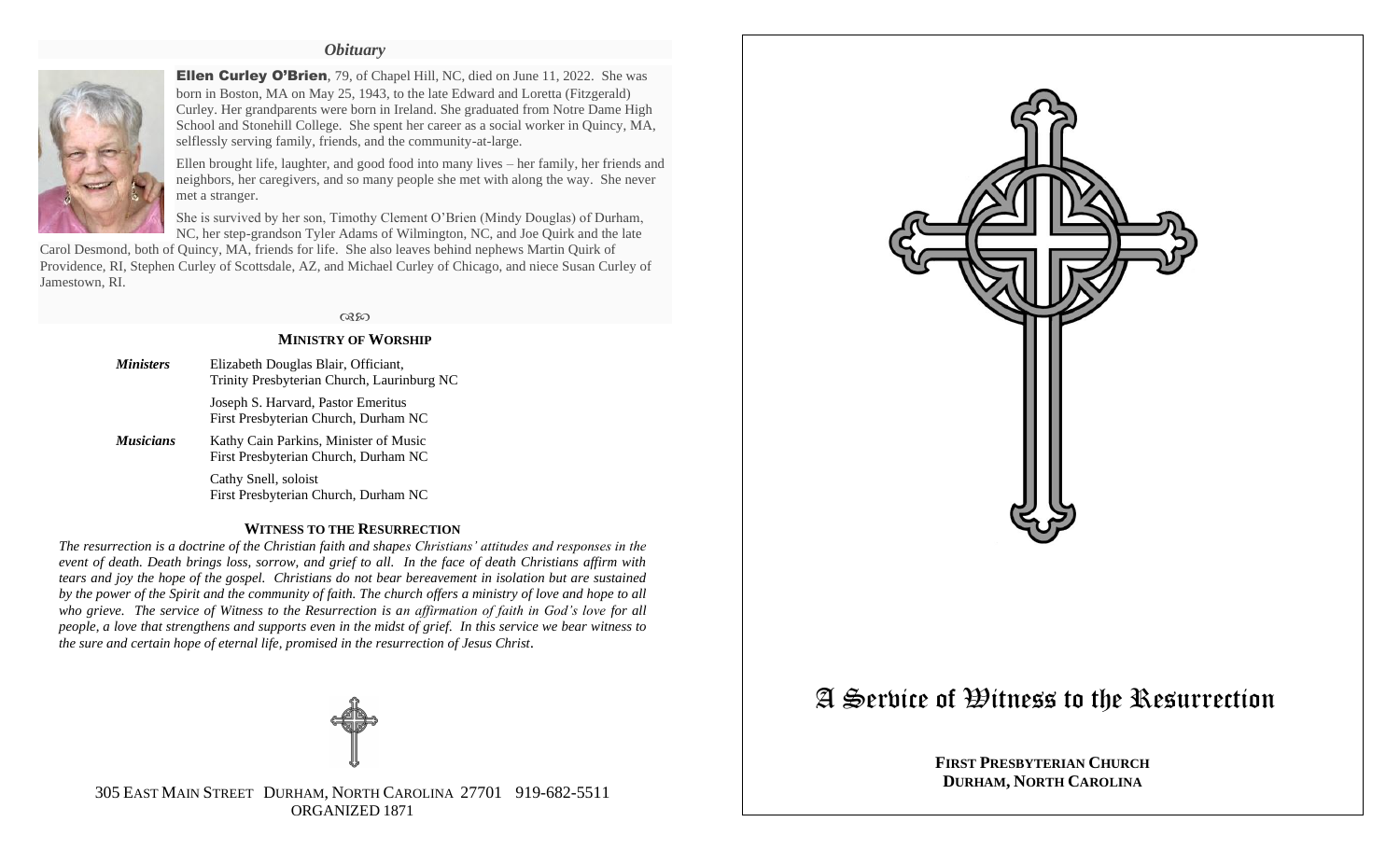# *Obituary*



**Ellen Curley O'Brien**, 79, of Chapel Hill, NC, died on June 11, 2022. She was born in Boston, MA on May 25, 1943, to the late Edward and Loretta (Fitzgerald) Curley. Her grandparents were born in Ireland. She graduated from Notre Dame High School and Stonehill College. She spent her career as a social worker in Quincy, MA, selflessly serving family, friends, and the community-at-large.

Ellen brought life, laughter, and good food into many lives – her family, her friends and neighbors, her caregivers, and so many people she met with along the way. She never met a stranger.

She is survived by her son, Timothy Clement O'Brien (Mindy Douglas) of Durham, NC, her step-grandson Tyler Adams of Wilmington, NC, and Joe Quirk and the late

Carol Desmond, both of Quincy, MA, friends for life. She also leaves behind nephews Martin Quirk of Providence, RI, Stephen Curley of Scottsdale, AZ, and Michael Curley of Chicago, and niece Susan Curley of Jamestown, RI.

#### $@320$

### **MINISTRY OF WORSHIP**

- *Ministers* Elizabeth Douglas Blair, Officiant, Trinity Presbyterian Church, Laurinburg NC Joseph S. Harvard, Pastor Emeritus First Presbyterian Church, Durham NC
- *Musicians* Kathy Cain Parkins, Minister of Music First Presbyterian Church, Durham NC

Cathy Snell, soloist First Presbyterian Church, Durham NC

# **WITNESS TO THE RESURRECTION**

*The resurrection is a doctrine of the Christian faith and shapes Christians' attitudes and responses in the event of death. Death brings loss, sorrow, and grief to all. In the face of death Christians affirm with tears and joy the hope of the gospel. Christians do not bear bereavement in isolation but are sustained by the power of the Spirit and the community of faith. The church offers a ministry of love and hope to all who grieve. The service of Witness to the Resurrection is an affirmation of faith in God's love for all people, a love that strengthens and supports even in the midst of grief. In this service we bear witness to the sure and certain hope of eternal life, promised in the resurrection of Jesus Christ.*



305 EAST MAIN STREET DURHAM, NORTH CAROLINA 27701 919-682-5511 ORGANIZED 1871



# A Service of Witness to the Resurrection

**FIRST PRESBYTERIAN CHURCH DURHAM, NORTH CAROLINA**